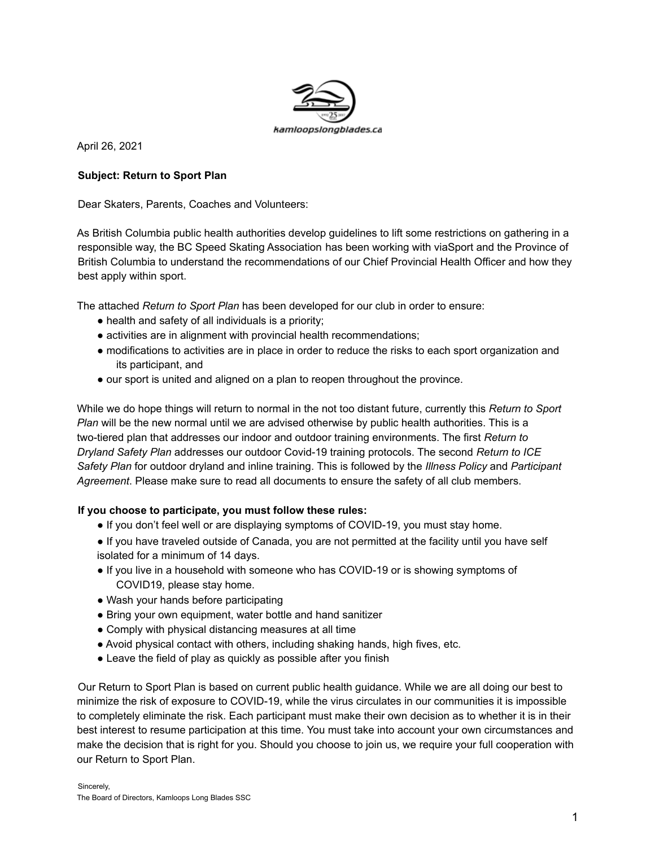

April 26, 2021

#### **Subject: Return to Sport Plan**

Dear Skaters, Parents, Coaches and Volunteers:

As British Columbia public health authorities develop guidelines to lift some restrictions on gathering in a responsible way, the BC Speed Skating Association has been working with viaSport and the Province of British Columbia to understand the recommendations of our Chief Provincial Health Officer and how they best apply within sport.

The attached *Return to Sport Plan* has been developed for our club in order to ensure:

- health and safety of all individuals is a priority;
- activities are in alignment with provincial health recommendations;
- modifications to activities are in place in order to reduce the risks to each sport organization and its participant, and
- our sport is united and aligned on a plan to reopen throughout the province.

While we do hope things will return to normal in the not too distant future, currently this *Return to Sport Plan* will be the new normal until we are advised otherwise by public health authorities. This is a two-tiered plan that addresses our indoor and outdoor training environments. The first *Return to Dryland Safety Plan* addresses our outdoor Covid-19 training protocols. The second *Return to ICE Safety Plan* for outdoor dryland and inline training. This is followed by the *Illness Policy* and *Participant Agreement*. Please make sure to read all documents to ensure the safety of all club members.

#### **If you choose to participate, you must follow these rules:**

- If you don't feel well or are displaying symptoms of COVID-19, you must stay home.
- If you have traveled outside of Canada, you are not permitted at the facility until you have self isolated for a minimum of 14 days.
- If you live in a household with someone who has COVID-19 or is showing symptoms of COVID19, please stay home.
- Wash your hands before participating
- Bring your own equipment, water bottle and hand sanitizer
- Comply with physical distancing measures at all time
- Avoid physical contact with others, including shaking hands, high fives, etc.
- Leave the field of play as quickly as possible after you finish

Our Return to Sport Plan is based on current public health guidance. While we are all doing our best to minimize the risk of exposure to COVID-19, while the virus circulates in our communities it is impossible to completely eliminate the risk. Each participant must make their own decision as to whether it is in their best interest to resume participation at this time. You must take into account your own circumstances and make the decision that is right for you. Should you choose to join us, we require your full cooperation with our Return to Sport Plan.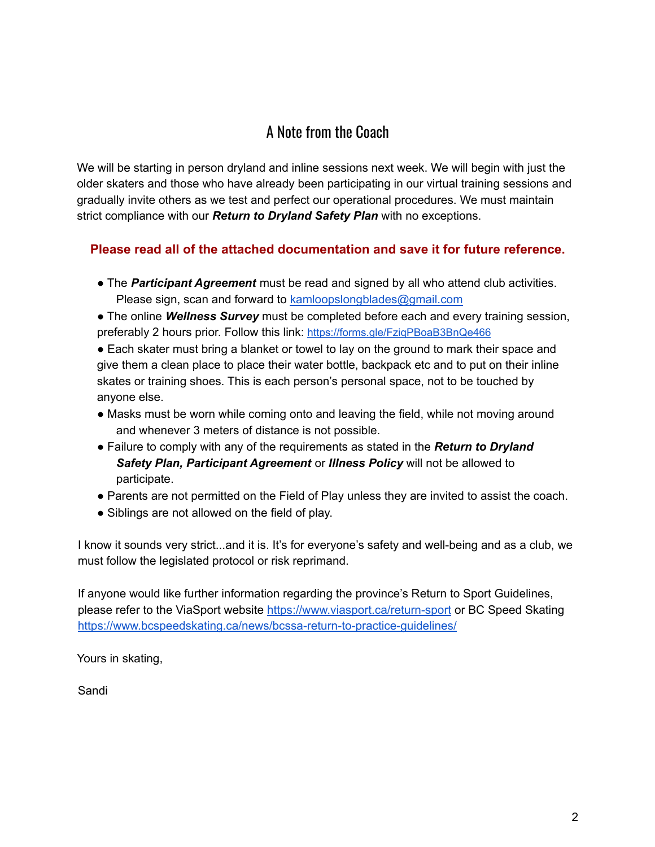# A Note from the Coach

We will be starting in person dryland and inline sessions next week. We will begin with just the older skaters and those who have already been participating in our virtual training sessions and gradually invite others as we test and perfect our operational procedures. We must maintain strict compliance with our *Return to Dryland Safety Plan* with no exceptions.

## **Please read all of the attached documentation and save it for future reference.**

- The *Participant Agreement* must be read and signed by all who attend club activities. Please sign, scan and forward to kamloopslongblades@gmail.com
- The online *Wellness Survey* must be completed before each and every training session, preferably 2 hours prior. Follow this link: https://forms.gle/FziqPBoaB3BnQe466

● Each skater must bring a blanket or towel to lay on the ground to mark their space and give them a clean place to place their water bottle, backpack etc and to put on their inline skates or training shoes. This is each person's personal space, not to be touched by anyone else.

- Masks must be worn while coming onto and leaving the field, while not moving around and whenever 3 meters of distance is not possible.
- Failure to comply with any of the requirements as stated in the *Return to Dryland Safety Plan, Participant Agreement* or *Illness Policy* will not be allowed to participate.
- Parents are not permitted on the Field of Play unless they are invited to assist the coach.
- Siblings are not allowed on the field of play.

I know it sounds very strict...and it is. It's for everyone's safety and well-being and as a club, we must follow the legislated protocol or risk reprimand.

If anyone would like further information regarding the province's Return to Sport Guidelines, please refer to the ViaSport website https://www.viasport.ca/return-sport or BC Speed Skating https://www.bcspeedskating.ca/news/bcssa-return-to-practice-guidelines/

Yours in skating,

Sandi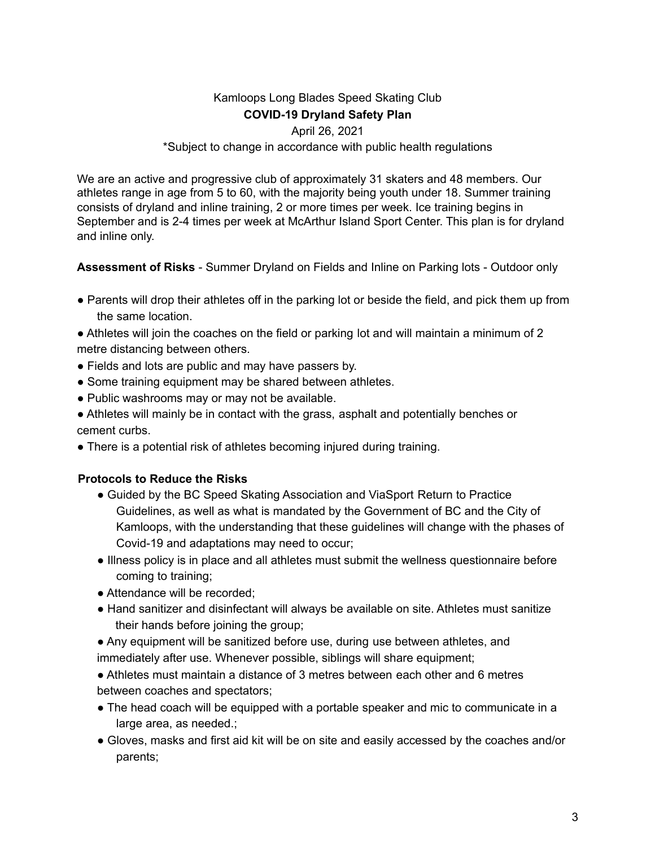# Kamloops Long Blades Speed Skating Club **COVID-19 Dryland Safety Plan**

#### April 26, 2021

#### \*Subject to change in accordance with public health regulations

We are an active and progressive club of approximately 31 skaters and 48 members. Our athletes range in age from 5 to 60, with the majority being youth under 18. Summer training consists of dryland and inline training, 2 or more times per week. Ice training begins in September and is 2-4 times per week at McArthur Island Sport Center. This plan is for dryland and inline only.

**Assessment of Risks** - Summer Dryland on Fields and Inline on Parking lots - Outdoor only

• Parents will drop their athletes off in the parking lot or beside the field, and pick them up from the same location.

• Athletes will join the coaches on the field or parking lot and will maintain a minimum of 2 metre distancing between others.

- Fields and lots are public and may have passers by.
- Some training equipment may be shared between athletes.
- Public washrooms may or may not be available.

● Athletes will mainly be in contact with the grass, asphalt and potentially benches or cement curbs.

• There is a potential risk of athletes becoming injured during training.

### **Protocols to Reduce the Risks**

- Guided by the BC Speed Skating Association and ViaSport Return to Practice Guidelines, as well as what is mandated by the Government of BC and the City of Kamloops, with the understanding that these guidelines will change with the phases of Covid-19 and adaptations may need to occur;
- Illness policy is in place and all athletes must submit the wellness questionnaire before coming to training;
- Attendance will be recorded:
- Hand sanitizer and disinfectant will always be available on site. Athletes must sanitize their hands before joining the group;

● Any equipment will be sanitized before use, during use between athletes, and immediately after use. Whenever possible, siblings will share equipment;

● Athletes must maintain a distance of 3 metres between each other and 6 metres between coaches and spectators;

- The head coach will be equipped with a portable speaker and mic to communicate in a large area, as needed.;
- Gloves, masks and first aid kit will be on site and easily accessed by the coaches and/or parents;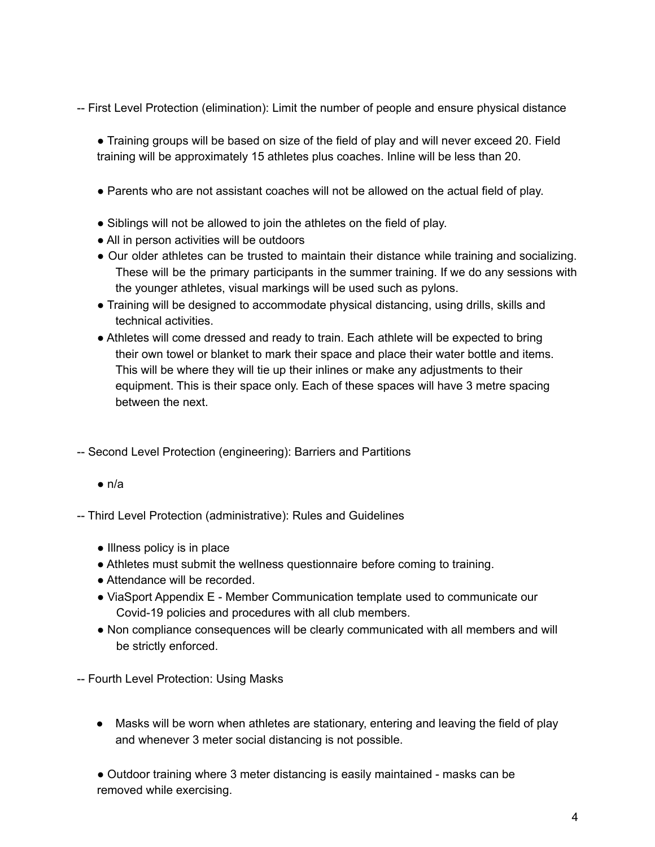-- First Level Protection (elimination): Limit the number of people and ensure physical distance

● Training groups will be based on size of the field of play and will never exceed 20. Field training will be approximately 15 athletes plus coaches. Inline will be less than 20.

- Parents who are not assistant coaches will not be allowed on the actual field of play.
- Siblings will not be allowed to join the athletes on the field of play.
- All in person activities will be outdoors
- Our older athletes can be trusted to maintain their distance while training and socializing. These will be the primary participants in the summer training. If we do any sessions with the younger athletes, visual markings will be used such as pylons.
- Training will be designed to accommodate physical distancing, using drills, skills and technical activities.
- Athletes will come dressed and ready to train. Each athlete will be expected to bring their own towel or blanket to mark their space and place their water bottle and items. This will be where they will tie up their inlines or make any adjustments to their equipment. This is their space only. Each of these spaces will have 3 metre spacing between the next.

-- Second Level Protection (engineering): Barriers and Partitions

 $\bullet$  n/a

-- Third Level Protection (administrative): Rules and Guidelines

- Illness policy is in place
- Athletes must submit the wellness questionnaire before coming to training.
- Attendance will be recorded.
- ViaSport Appendix E Member Communication template used to communicate our Covid-19 policies and procedures with all club members.
- Non compliance consequences will be clearly communicated with all members and will be strictly enforced.

-- Fourth Level Protection: Using Masks

● Masks will be worn when athletes are stationary, entering and leaving the field of play and whenever 3 meter social distancing is not possible.

● Outdoor training where 3 meter distancing is easily maintained - masks can be removed while exercising.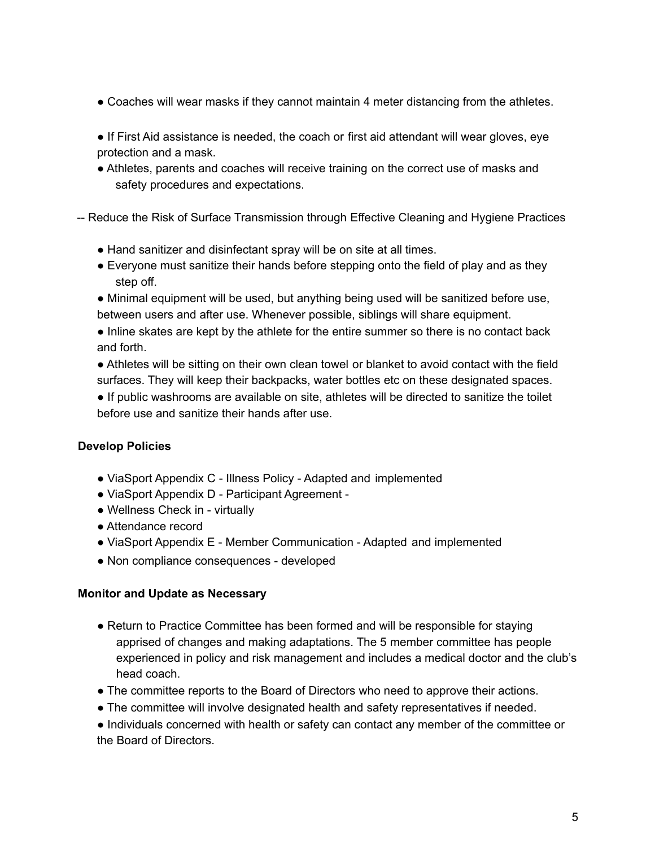- Coaches will wear masks if they cannot maintain 4 meter distancing from the athletes.
- If First Aid assistance is needed, the coach or first aid attendant will wear gloves, eye protection and a mask.
- Athletes, parents and coaches will receive training on the correct use of masks and safety procedures and expectations.
- -- Reduce the Risk of Surface Transmission through Effective Cleaning and Hygiene Practices
	- Hand sanitizer and disinfectant spray will be on site at all times.
	- Everyone must sanitize their hands before stepping onto the field of play and as they step off.
	- Minimal equipment will be used, but anything being used will be sanitized before use, between users and after use. Whenever possible, siblings will share equipment.
	- Inline skates are kept by the athlete for the entire summer so there is no contact back and forth.
	- Athletes will be sitting on their own clean towel or blanket to avoid contact with the field surfaces. They will keep their backpacks, water bottles etc on these designated spaces.
	- If public washrooms are available on site, athletes will be directed to sanitize the toilet before use and sanitize their hands after use.

### **Develop Policies**

- ViaSport Appendix C Illness Policy Adapted and implemented
- ViaSport Appendix D Participant Agreement -
- Wellness Check in virtually
- Attendance record
- ViaSport Appendix E Member Communication Adapted and implemented
- Non compliance consequences developed

#### **Monitor and Update as Necessary**

- Return to Practice Committee has been formed and will be responsible for staying apprised of changes and making adaptations. The 5 member committee has people experienced in policy and risk management and includes a medical doctor and the club's head coach.
- The committee reports to the Board of Directors who need to approve their actions.
- The committee will involve designated health and safety representatives if needed.
- Individuals concerned with health or safety can contact any member of the committee or the Board of Directors.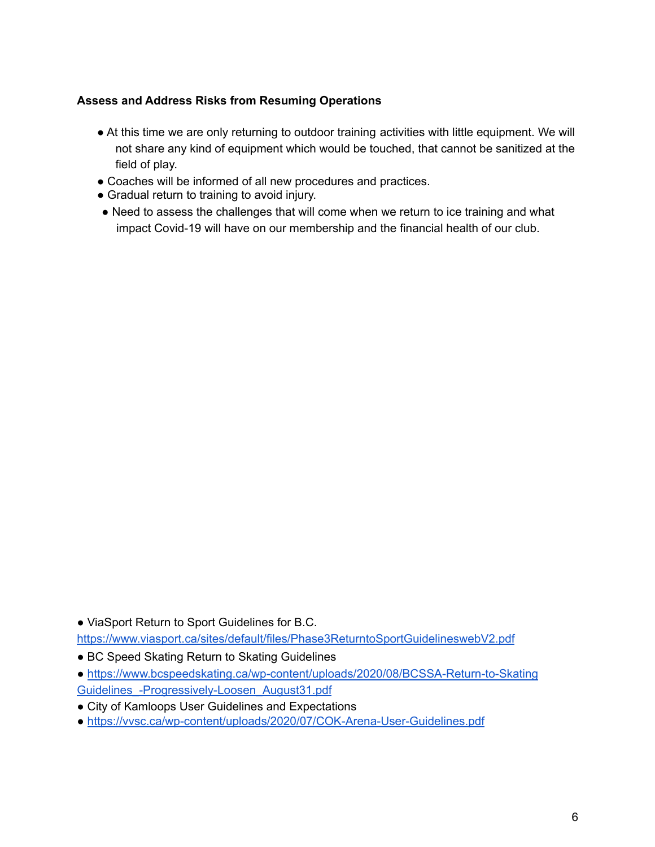## **Assess and Address Risks from Resuming Operations**

- At this time we are only returning to outdoor training activities with little equipment. We will not share any kind of equipment which would be touched, that cannot be sanitized at the field of play.
- Coaches will be informed of all new procedures and practices.
- Gradual return to training to avoid injury.
- Need to assess the challenges that will come when we return to ice training and what impact Covid-19 will have on our membership and the financial health of our club.

● ViaSport Return to Sport Guidelines for B.C. https://www.viasport.ca/sites/default/files/Phase3ReturntoSportGuidelineswebV2.pdf

- BC Speed Skating Return to Skating Guidelines
- https://www.bcspeedskating.ca/wp-content/uploads/2020/08/BCSSA-Return-to-Skating Guidelines\_-Progressively-Loosen\_August31.pdf
- City of Kamloops User Guidelines and Expectations
- https://vvsc.ca/wp-content/uploads/2020/07/COK-Arena-User-Guidelines.pdf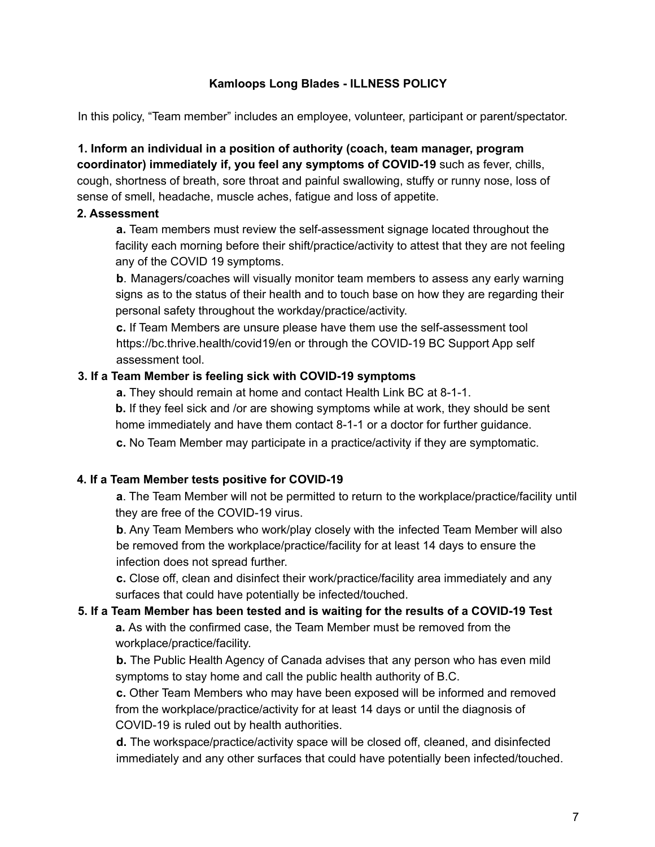#### **Kamloops Long Blades - ILLNESS POLICY**

In this policy, "Team member" includes an employee, volunteer, participant or parent/spectator.

**1. Inform an individual in a position of authority (coach, team manager, program coordinator) immediately if, you feel any symptoms of COVID-19** such as fever, chills, cough, shortness of breath, sore throat and painful swallowing, stuffy or runny nose, loss of sense of smell, headache, muscle aches, fatigue and loss of appetite.

#### **2. Assessment**

**a.** Team members must review the self-assessment signage located throughout the facility each morning before their shift/practice/activity to attest that they are not feeling any of the COVID 19 symptoms.

**b**. Managers/coaches will visually monitor team members to assess any early warning signs as to the status of their health and to touch base on how they are regarding their personal safety throughout the workday/practice/activity.

**c.** If Team Members are unsure please have them use the self-assessment tool https://bc.thrive.health/covid19/en or through the COVID-19 BC Support App self assessment tool.

#### **3. If a Team Member is feeling sick with COVID-19 symptoms**

**a.** They should remain at home and contact Health Link BC at 8-1-1.

**b.** If they feel sick and /or are showing symptoms while at work, they should be sent home immediately and have them contact 8-1-1 or a doctor for further guidance.

**c.** No Team Member may participate in a practice/activity if they are symptomatic.

#### **4. If a Team Member tests positive for COVID-19**

**a**. The Team Member will not be permitted to return to the workplace/practice/facility until they are free of the COVID-19 virus.

**b**. Any Team Members who work/play closely with the infected Team Member will also be removed from the workplace/practice/facility for at least 14 days to ensure the infection does not spread further.

**c.** Close off, clean and disinfect their work/practice/facility area immediately and any surfaces that could have potentially be infected/touched.

### **5. If a Team Member has been tested and is waiting for the results of a COVID-19 Test a.** As with the confirmed case, the Team Member must be removed from the workplace/practice/facility.

**b.** The Public Health Agency of Canada advises that any person who has even mild symptoms to stay home and call the public health authority of B.C.

**c.** Other Team Members who may have been exposed will be informed and removed from the workplace/practice/activity for at least 14 days or until the diagnosis of COVID-19 is ruled out by health authorities.

**d.** The workspace/practice/activity space will be closed off, cleaned, and disinfected immediately and any other surfaces that could have potentially been infected/touched.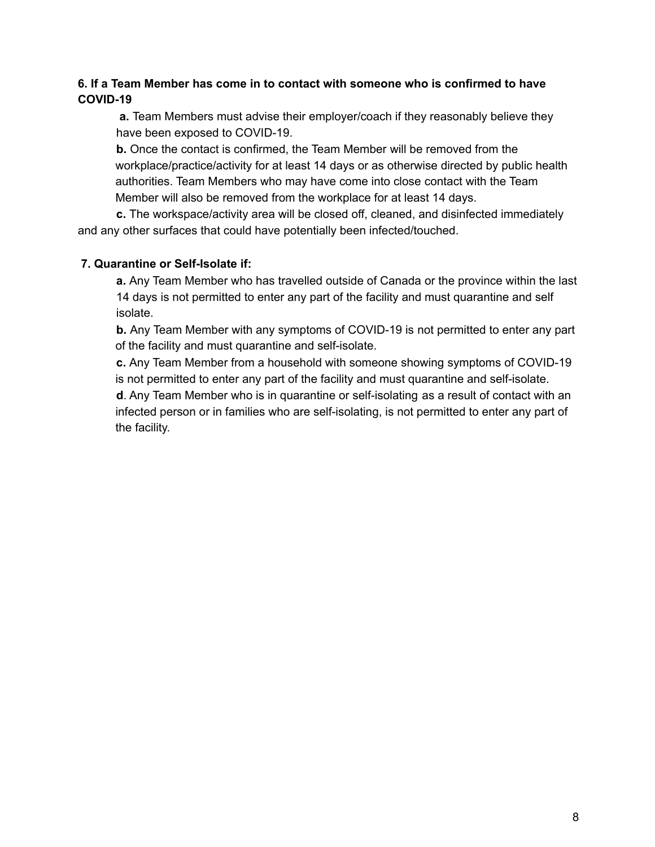## **6. If a Team Member has come in to contact with someone who is confirmed to have COVID-19**

**a.** Team Members must advise their employer/coach if they reasonably believe they have been exposed to COVID-19.

**b.** Once the contact is confirmed, the Team Member will be removed from the workplace/practice/activity for at least 14 days or as otherwise directed by public health authorities. Team Members who may have come into close contact with the Team Member will also be removed from the workplace for at least 14 days.

**c.** The workspace/activity area will be closed off, cleaned, and disinfected immediately and any other surfaces that could have potentially been infected/touched.

### **7. Quarantine or Self-Isolate if:**

**a.** Any Team Member who has travelled outside of Canada or the province within the last 14 days is not permitted to enter any part of the facility and must quarantine and self isolate.

**b.** Any Team Member with any symptoms of COVID-19 is not permitted to enter any part of the facility and must quarantine and self-isolate.

**c.** Any Team Member from a household with someone showing symptoms of COVID-19 is not permitted to enter any part of the facility and must quarantine and self-isolate.

**d**. Any Team Member who is in quarantine or self-isolating as a result of contact with an infected person or in families who are self-isolating, is not permitted to enter any part of the facility.